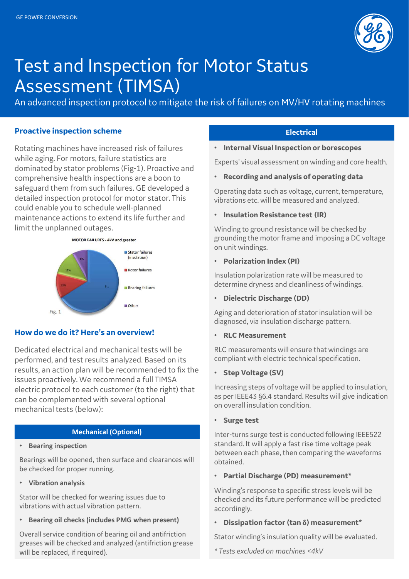

# Test and Inspection for Motor Status Assessment (TIMSA)

An advanced inspection protocol to mitigate the risk of failures on MV/HV rotating machines

### Proactive inspection scheme

Rotating machines have increased risk of failures while aging. For motors, failure statistics are dominated by stator problems (Fig-1). Proactive and comprehensive health inspections are a boon to safeguard them from such failures. GE developed a detailed inspection protocol for motor stator. This could enable you to schedule well-planned maintenance actions to extend its life further and limit the unplanned outages.



## How do we do it? Here's an overview!

Dedicated electrical and mechanical tests will be performed, and test results analyzed. Based on its results, an action plan will be recommended to fix the issues proactively. We recommend a full TIMSA electric protocol to each customer (to the right) that can be complemented with several optional mechanical tests (below):

### Mechanical (Optional)

#### • Bearing inspection

Bearings will be opened, then surface and clearances will be checked for proper running.

• Vibration analysis

Stator will be checked for wearing issues due to vibrations with actual vibration pattern.

• Bearing oil checks (includes PMG when present)

Overall service condition of bearing oil and antifriction greases will be checked and analyzed (antifriction grease will be replaced, if required).

## **Electrical**

• Internal Visual Inspection or borescopes

Experts' visual assessment on winding and core health.

• Recording and analysis of operating data

Operating data such as voltage, current, temperature, vibrations etc. will be measured and analyzed.

#### • Insulation Resistance test (IR)

Winding to ground resistance will be checked by grounding the motor frame and imposing a DC voltage on unit windings.

#### • Polarization Index (PI)

Insulation polarization rate will be measured to determine dryness and cleanliness of windings.

### • Dielectric Discharge (DD)

Aging and deterioration of stator insulation will be diagnosed, via insulation discharge pattern.

#### • RLC Measurement

RLC measurements will ensure that windings are compliant with electric technical specification.

• Step Voltage (SV)

Increasing steps of voltage will be applied to insulation, as per IEEE43 §6.4 standard. Results will give indication on overall insulation condition.

• Surge test

Inter-turns surge test is conducted following IEEE522 standard. It will apply a fast rise time voltage peak between each phase, then comparing the waveforms obtained.

• Partial Discharge (PD) measurement\*

Winding's response to specific stress levels will be checked and its future performance will be predicted accordingly.

• Dissipation factor (tan δ) measurement\*

Stator winding's insulation quality will be evaluated.

\* Tests excluded on machines <4kV